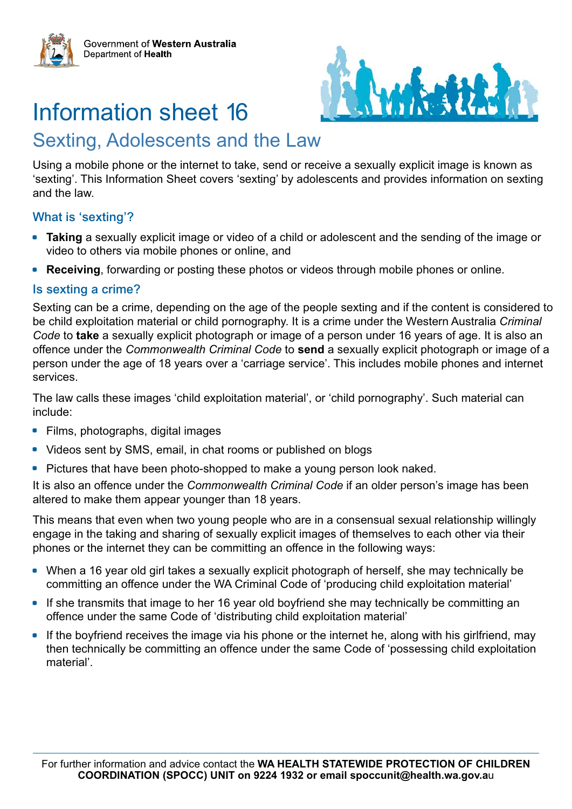

# Information sheet 16

## Sexting, Adolescents and the Law

Using a mobile phone or the internet to take, send or receive a sexually explicit image is known as 'sexting'. This Information Sheet covers 'sexting' by adolescents and provides information on sexting and the law.

#### What is 'sexting'?

- **Taking** a sexually explicit image or video of a child or adolescent and the sending of the image or video to others via mobile phones or online, and
- **Receiving**, forwarding or posting these photos or videos through mobile phones or online.

#### Is sexting a crime?

Sexting can be a crime, depending on the age of the people sexting and if the content is considered to be child exploitation material or child pornography. It is a crime under the Western Australia *Criminal Code* to **take** a sexually explicit photograph or image of a person under 16 years of age. It is also an offence under the *Commonwealth Criminal Code* to **send** a sexually explicit photograph or image of a person under the age of 18 years over a 'carriage service'. This includes mobile phones and internet services.

The law calls these images 'child exploitation material', or 'child pornography'. Such material can include:

- Films, photographs, digital images
- Videos sent by SMS, email, in chat rooms or published on blogs
- Pictures that have been photo-shopped to make a young person look naked.

It is also an offence under the *Commonwealth Criminal Code* if an older person's image has been altered to make them appear younger than 18 years.

This means that even when two young people who are in a consensual sexual relationship willingly engage in the taking and sharing of sexually explicit images of themselves to each other via their phones or the internet they can be committing an offence in the following ways:

- When a 16 year old girl takes a sexually explicit photograph of herself, she may technically be committing an offence under the WA Criminal Code of 'producing child exploitation material'
- If she transmits that image to her 16 year old boyfriend she may technically be committing an offence under the same Code of 'distributing child exploitation material'
- If the boyfriend receives the image via his phone or the internet he, along with his girlfriend, may then technically be committing an offence under the same Code of 'possessing child exploitation material'.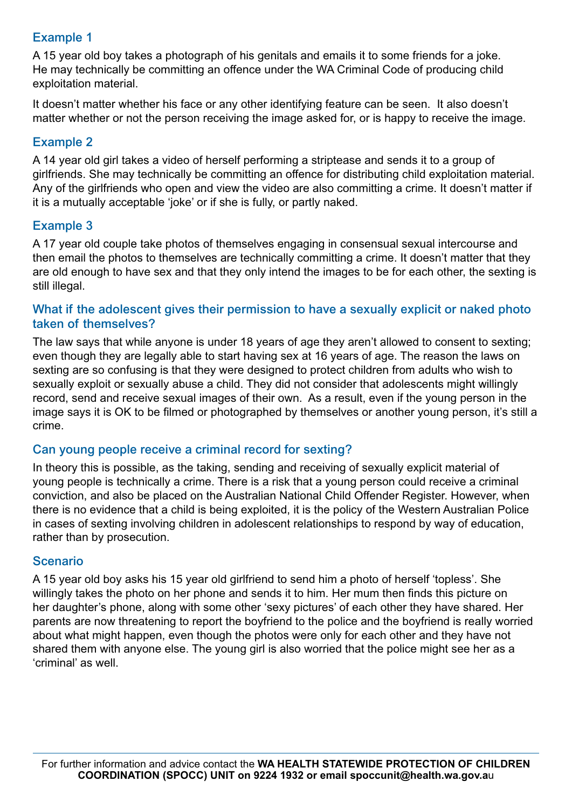### Example 1

A 15 year old boy takes a photograph of his genitals and emails it to some friends for a joke. He may technically be committing an offence under the WA Criminal Code of producing child exploitation material.

It doesn't matter whether his face or any other identifying feature can be seen. It also doesn't matter whether or not the person receiving the image asked for, or is happy to receive the image.

#### Example 2

A 14 year old girl takes a video of herself performing a striptease and sends it to a group of girlfriends. She may technically be committing an offence for distributing child exploitation material. Any of the girlfriends who open and view the video are also committing a crime. It doesn't matter if it is a mutually acceptable 'joke' or if she is fully, or partly naked.

#### Example 3

A 17 year old couple take photos of themselves engaging in consensual sexual intercourse and then email the photos to themselves are technically committing a crime. It doesn't matter that they are old enough to have sex and that they only intend the images to be for each other, the sexting is still illegal.

#### What if the adolescent gives their permission to have a sexually explicit or naked photo taken of themselves?

The law says that while anyone is under 18 years of age they aren't allowed to consent to sexting; even though they are legally able to start having sex at 16 years of age. The reason the laws on sexting are so confusing is that they were designed to protect children from adults who wish to sexually exploit or sexually abuse a child. They did not consider that adolescents might willingly record, send and receive sexual images of their own. As a result, even if the young person in the image says it is OK to be filmed or photographed by themselves or another young person, it's still a crime.

#### Can young people receive a criminal record for sexting?

In theory this is possible, as the taking, sending and receiving of sexually explicit material of young people is technically a crime. There is a risk that a young person could receive a criminal conviction, and also be placed on the Australian National Child Offender Register. However, when there is no evidence that a child is being exploited, it is the policy of the Western Australian Police in cases of sexting involving children in adolescent relationships to respond by way of education, rather than by prosecution.

#### Scenario

A 15 year old boy asks his 15 year old girlfriend to send him a photo of herself 'topless'. She willingly takes the photo on her phone and sends it to him. Her mum then finds this picture on her daughter's phone, along with some other 'sexy pictures' of each other they have shared. Her parents are now threatening to report the boyfriend to the police and the boyfriend is really worried about what might happen, even though the photos were only for each other and they have not shared them with anyone else. The young girl is also worried that the police might see her as a 'criminal' as well.